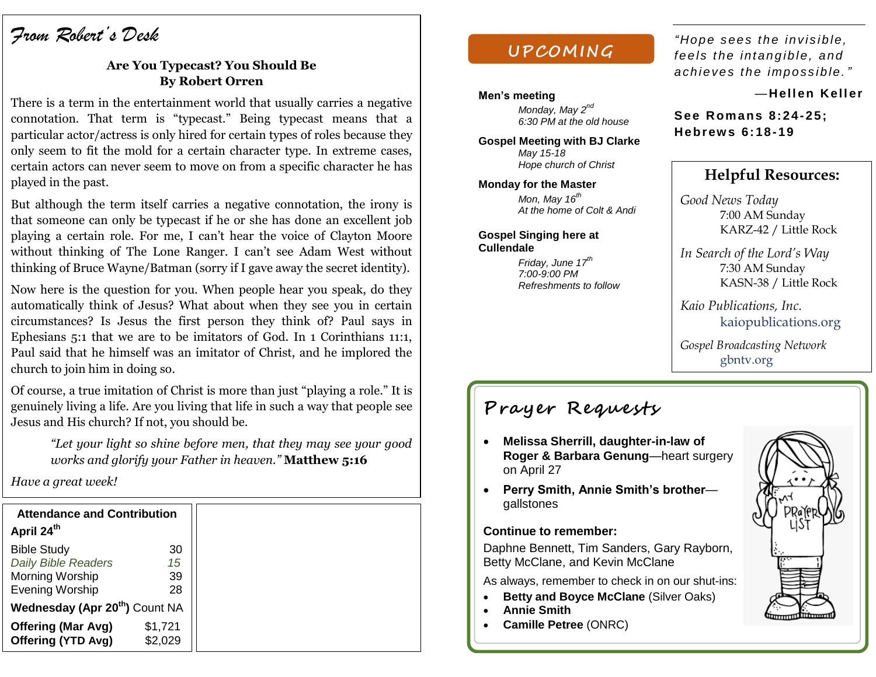# *From Robert's Desk*

### **Are You Typecast? You Should Be By Robert Orren**

There is a term in the entertainment world that usually carries a negative connotation. That term is "typecast." Being typecast means that a particular actor/actress is only hired for certain types of roles because they only seem to fit the mold for a certain character type. In extreme cases, certain actors can never seem to move on from a specific character he has played in the past.

But although the term itself carries a negative connotation, the irony is that someone can only be typecast if he or she has done an excellent job playing a certain role. For me, I can't hear the voice of Clayton Moore without thinking of The Lone Ranger. I can't see Adam West without thinking of Bruce Wayne/Batman (sorry if I gave away the secret identity).

Now here is the question for you. When people hear you speak, do they automatically think of Jesus? What about when they see you in certain circumstances? Is Jesus the first person they think of? Paul says in Ephesians 5:1 that we are to be imitators of God. In 1 Corinthians 11:1, Paul said that he himself was an imitator of Christ, and he implored the church to join him in doing so.

Of course, a true imitation of Christ is more than just "playing a role." It is genuinely living a life. Are you living that life in such a way that people see Jesus and His church? If not, you should be.

*"Let your light so shine before men, that they may see your good works and glorify your Father in heaven."* **Matthew 5:16**

*Have a great week!*

| <b>Attendance and Contribution</b><br>April 24th |                    |  |
|--------------------------------------------------|--------------------|--|
| <b>Bible Study</b>                               | 30                 |  |
| <b>Daily Bible Readers</b>                       | 15                 |  |
| Morning Worship                                  | 39                 |  |
| <b>Evening Worship</b>                           | 28                 |  |
| Wednesday (Apr 20 <sup>th</sup> ) Count NA       |                    |  |
| <b>Offering (Mar Avg)</b><br>Offering (YTD Avg)  | \$1,721<br>\$2.029 |  |

## **UPCOM ING**

#### **Men's meeting**

*Monday, May 2nd 6:30 PM at the old house*

**Gospel Meeting with BJ Clarke** *May 15-18 Hope church of Christ*

**Monday for the Master** *Mon, May 16th At the home of Colt & Andi*

**Gospel Singing here at Cullendale**

> *Friday, June 17th 7:00-9:00 PM Refreshments to follow*

"Hope sees the invisible, *fe e ls t he int an g ib le, a nd a ch ieve s th e impo ss ib le. "*

#### *—***Hell en Kell er**

**See Romans 8:24-25; He brew s 6: 18- 19**

## **Helpful Resources:**

*Good News Today* 7:00 AM Sunday KARZ-42 / Little Rock

*In Search of the Lord's Way* 7:30 AM Sunday KASN-38 / Little Rock

*Kaio Publications, Inc.* kaiopublications.org

*Gospel Broadcasting Network* gbntv.org

# **Prayer Requests**

- **Melissa Sherrill, daughter-in-law of Roger & Barbara Genung**—heart surgery on April 27
- **Perry Smith, Annie Smith's brother** gallstones

#### **Continue to remember:**

Daphne Bennett, Tim Sanders, Gary Rayborn, Betty McClane, and Kevin McClane

As always, remember to check in on our shut-ins:

- **Betty and Boyce McClane (Silver Oaks)**
- **Annie Smith**
- **Camille Petree** (ONRC)